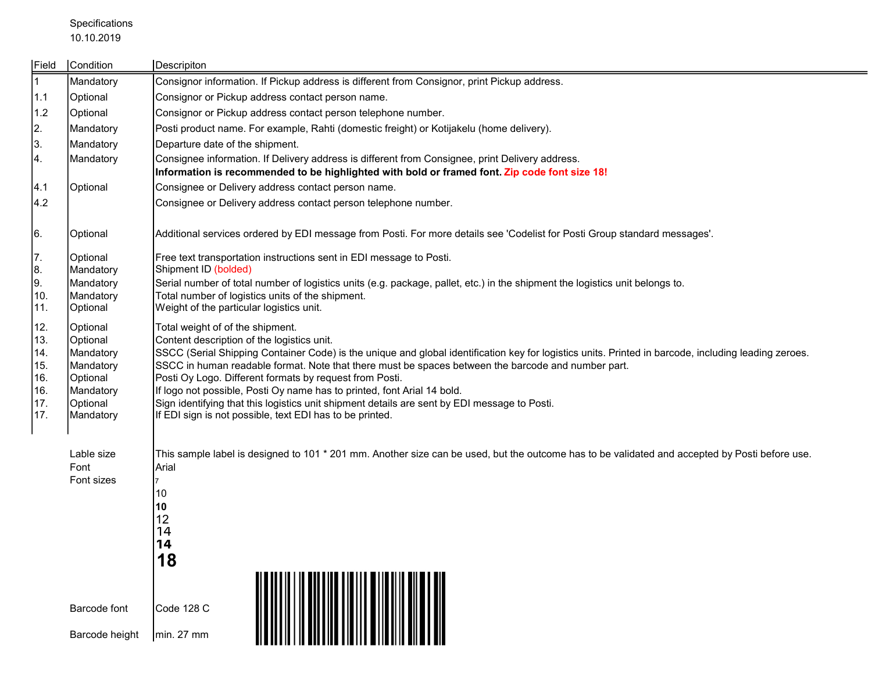## Specifications 10.10.2019

| Field        | Condition              | Descripiton                                                                                                                                                                      |
|--------------|------------------------|----------------------------------------------------------------------------------------------------------------------------------------------------------------------------------|
| $\mathbf{1}$ | Mandatory              | Consignor information. If Pickup address is different from Consignor, print Pickup address.                                                                                      |
| 1.1          | Optional               | Consignor or Pickup address contact person name.                                                                                                                                 |
| 1.2          | Optional               | Consignor or Pickup address contact person telephone number.                                                                                                                     |
| 2.           | Mandatory              | Posti product name. For example, Rahti (domestic freight) or Kotijakelu (home delivery).                                                                                         |
| 3.           | Mandatory              | Departure date of the shipment.                                                                                                                                                  |
| 4.           | Mandatory              | Consignee information. If Delivery address is different from Consignee, print Delivery address.                                                                                  |
|              |                        | Information is recommended to be highlighted with bold or framed font. Zip code font size 18!                                                                                    |
| 4.1          | Optional               | Consignee or Delivery address contact person name.                                                                                                                               |
| 4.2          |                        | Consignee or Delivery address contact person telephone number.                                                                                                                   |
| 6.           | Optional               | Additional services ordered by EDI message from Posti. For more details see 'Codelist for Posti Group standard messages'.                                                        |
| 7.           | Optional               | Free text transportation instructions sent in EDI message to Posti.                                                                                                              |
| 8.           | Mandatory              | Shipment ID (bolded)                                                                                                                                                             |
| 9.<br>10.    | Mandatory<br>Mandatory | Serial number of total number of logistics units (e.g. package, pallet, etc.) in the shipment the logistics unit belongs to.<br>Total number of logistics units of the shipment. |
| 11.          | Optional               | Weight of the particular logistics unit.                                                                                                                                         |
| 12.          | Optional               | Total weight of of the shipment.                                                                                                                                                 |
| 13.          | Optional               | Content description of the logistics unit.                                                                                                                                       |
| 14.          | Mandatory              | SSCC (Serial Shipping Container Code) is the unique and global identification key for logistics units. Printed in barcode, including leading zeroes.                             |
| 15.          | Mandatory              | SSCC in human readable format. Note that there must be spaces between the barcode and number part.                                                                               |
| 16.<br>16.   | Optional<br>Mandatory  | Posti Oy Logo. Different formats by request from Posti.<br>If logo not possible, Posti Oy name has to printed, font Arial 14 bold.                                               |
| 17.          | Optional               | Sign identifying that this logistics unit shipment details are sent by EDI message to Posti.                                                                                     |
| 17.          | Mandatory              | If EDI sign is not possible, text EDI has to be printed.                                                                                                                         |
|              |                        |                                                                                                                                                                                  |
|              | Lable size             | This sample label is designed to 101 * 201 mm. Another size can be used, but the outcome has to be validated and accepted by Posti before use.                                   |
|              | Font<br>Font sizes     | Arial                                                                                                                                                                            |
|              |                        | 10                                                                                                                                                                               |
|              |                        | 10                                                                                                                                                                               |
|              |                        | 12                                                                                                                                                                               |
|              |                        | 14                                                                                                                                                                               |
|              |                        | 14                                                                                                                                                                               |
|              |                        | 18                                                                                                                                                                               |
|              |                        |                                                                                                                                                                                  |
|              |                        |                                                                                                                                                                                  |
|              | Barcode font           | Code 128 C                                                                                                                                                                       |
|              | Barcode height         | min. 27 mm                                                                                                                                                                       |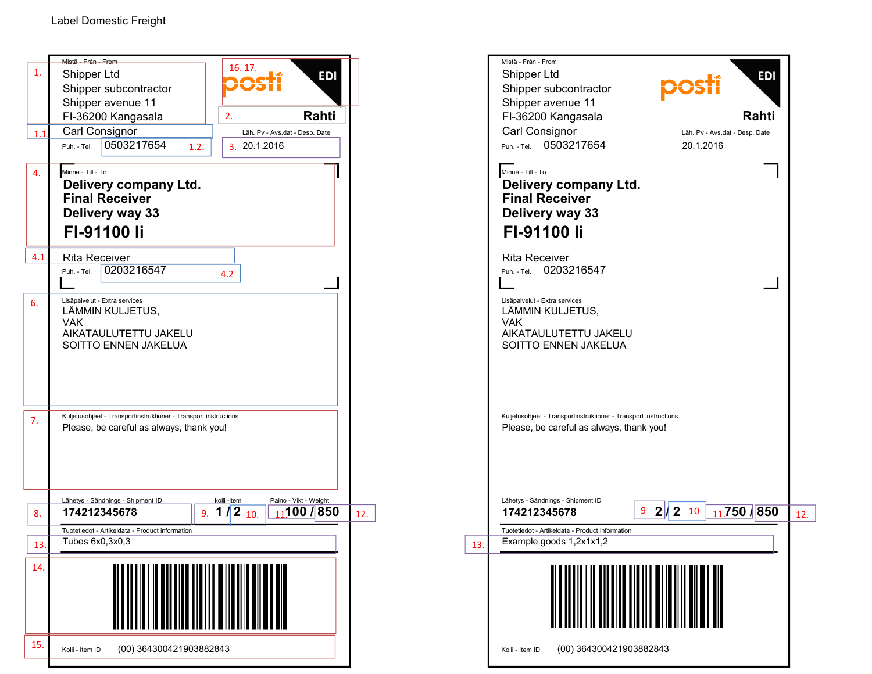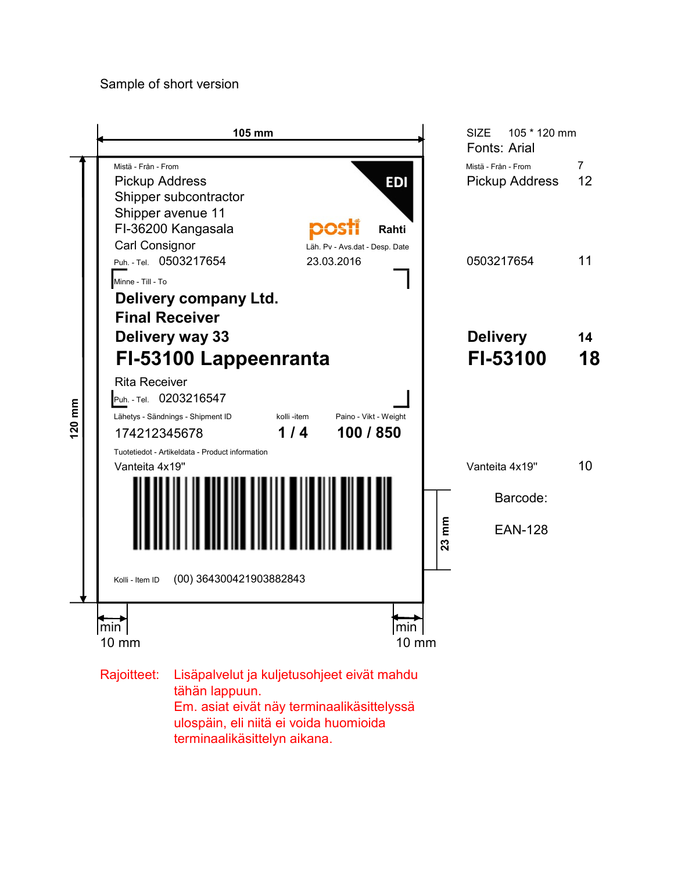## Sample of short version

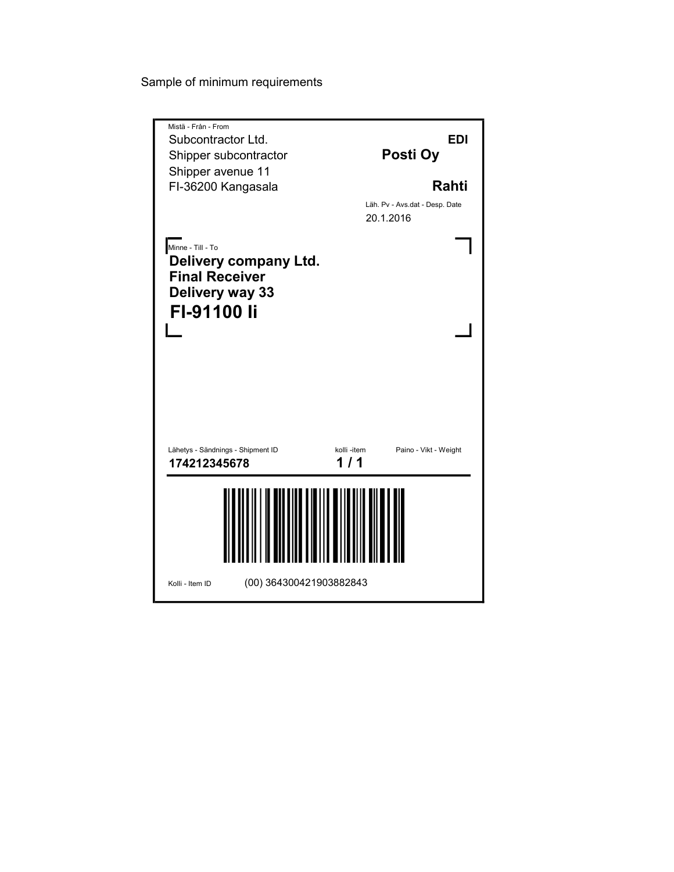Sample of minimum requirements